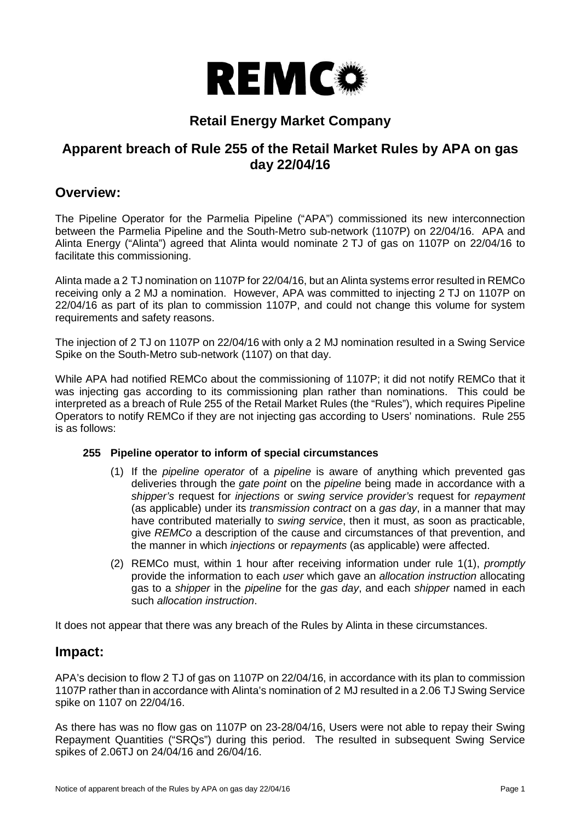

# **Retail Energy Market Company**

# **Apparent breach of Rule 255 of the Retail Market Rules by APA on gas day 22/04/16**

### **Overview:**

The Pipeline Operator for the Parmelia Pipeline ("APA") commissioned its new interconnection between the Parmelia Pipeline and the South-Metro sub-network (1107P) on 22/04/16. APA and Alinta Energy ("Alinta") agreed that Alinta would nominate 2 TJ of gas on 1107P on 22/04/16 to facilitate this commissioning.

Alinta made a 2 TJ nomination on 1107P for 22/04/16, but an Alinta systems error resulted in REMCo receiving only a 2 MJ a nomination. However, APA was committed to injecting 2 TJ on 1107P on 22/04/16 as part of its plan to commission 1107P, and could not change this volume for system requirements and safety reasons.

The injection of 2 TJ on 1107P on 22/04/16 with only a 2 MJ nomination resulted in a Swing Service Spike on the South-Metro sub-network (1107) on that day.

While APA had notified REMCo about the commissioning of 1107P; it did not notify REMCo that it was injecting gas according to its commissioning plan rather than nominations. This could be interpreted as a breach of Rule 255 of the Retail Market Rules (the "Rules"), which requires Pipeline Operators to notify REMCo if they are not injecting gas according to Users' nominations. Rule 255 is as follows:

#### <span id="page-0-0"></span>**255 Pipeline operator to inform of special circumstances**

- (1) If the *pipeline operator* of a *pipeline* is aware of anything which prevented gas deliveries through the *gate point* on the *pipeline* being made in accordance with a *shipper's* request for *injections* or *swing service provider's* request for *repayment* (as applicable) under its *transmission contract* on a *gas day*, in a manner that may have contributed materially to *swing service*, then it must, as soon as practicable, give *REMCo* a description of the cause and circumstances of that prevention, and the manner in which *injections* or *repayments* (as applicable) were affected.
- (2) REMCo must, within 1 hour after receiving information under rule [1\(1\),](#page-0-0) *promptly*  provide the information to each *user* which gave an *allocation instruction* allocating gas to a *shipper* in the *pipeline* for the *gas day*, and each *shipper* named in each such *allocation instruction*.

It does not appear that there was any breach of the Rules by Alinta in these circumstances.

### **Impact:**

APA's decision to flow 2 TJ of gas on 1107P on 22/04/16, in accordance with its plan to commission 1107P rather than in accordance with Alinta's nomination of 2 MJ resulted in a 2.06 TJ Swing Service spike on 1107 on 22/04/16.

As there has was no flow gas on 1107P on 23-28/04/16, Users were not able to repay their Swing Repayment Quantities ("SRQs") during this period. The resulted in subsequent Swing Service spikes of 2.06TJ on 24/04/16 and 26/04/16.